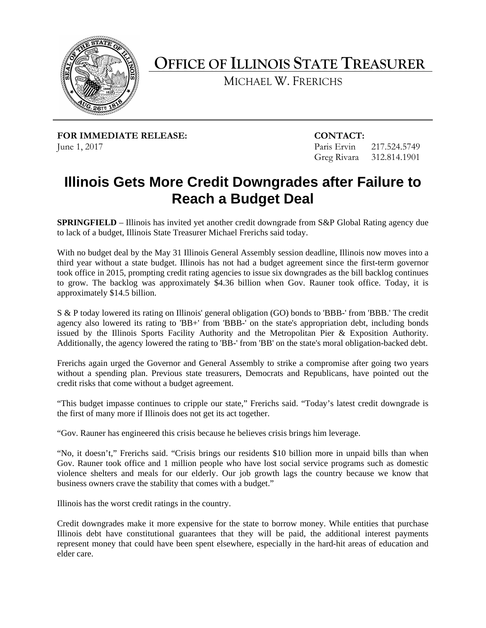

**OFFICE OF ILLINOIS STATE TREASURER** 

MICHAEL W. FRERICHS

**FOR IMMEDIATE RELEASE: CONTACT:** June 1, 2017

Paris Ervin 217.524.5749 Greg Rivara 312.814.1901

## **Illinois Gets More Credit Downgrades after Failure to Reach a Budget Deal**

 **SPRINGFIELD** – Illinois has invited yet another credit downgrade from S&P Global Rating agency due to lack of a budget, Illinois State Treasurer Michael Frerichs said today.

With no budget deal by the May 31 Illinois General Assembly session deadline, Illinois now moves into a third year without a state budget. Illinois has not had a budget agreement since the first-term governor took office in 2015, prompting credit rating agencies to issue six downgrades as the bill backlog continues to grow. The backlog was approximately \$4.36 billion when Gov. Rauner took office. Today, it is approximately \$14.5 billion.

 Additionally, the agency lowered the rating to 'BB-' from 'BB' on the state's moral obligation-backed debt. S & P today lowered its rating on Illinois' general obligation (GO) bonds to 'BBB-' from 'BBB.' The credit agency also lowered its rating to 'BB+' from 'BBB-' on the state's appropriation debt, including bonds issued by the Illinois Sports Facility Authority and the Metropolitan Pier & Exposition Authority.

 credit risks that come without a budget agreement. Frerichs again urged the Governor and General Assembly to strike a compromise after going two years without a spending plan. Previous state treasurers, Democrats and Republicans, have pointed out the

the first of many more if Illinois does not get its act together. "This budget impasse continues to cripple our state," Frerichs said. "Today's latest credit downgrade is

"Gov. Rauner has engineered this crisis because he believes crisis brings him leverage.

 business owners crave the stability that comes with a budget." "No, it doesn't," Frerichs said. "Crisis brings our residents \$10 billion more in unpaid bills than when Gov. Rauner took office and 1 million people who have lost social service programs such as domestic violence shelters and meals for our elderly. Our job growth lags the country because we know that

Illinois has the worst credit ratings in the country.

Credit downgrades make it more expensive for the state to borrow money. While entities that purchase Illinois debt have constitutional guarantees that they will be paid, the additional interest payments represent money that could have been spent elsewhere, especially in the hard-hit areas of education and elder care.